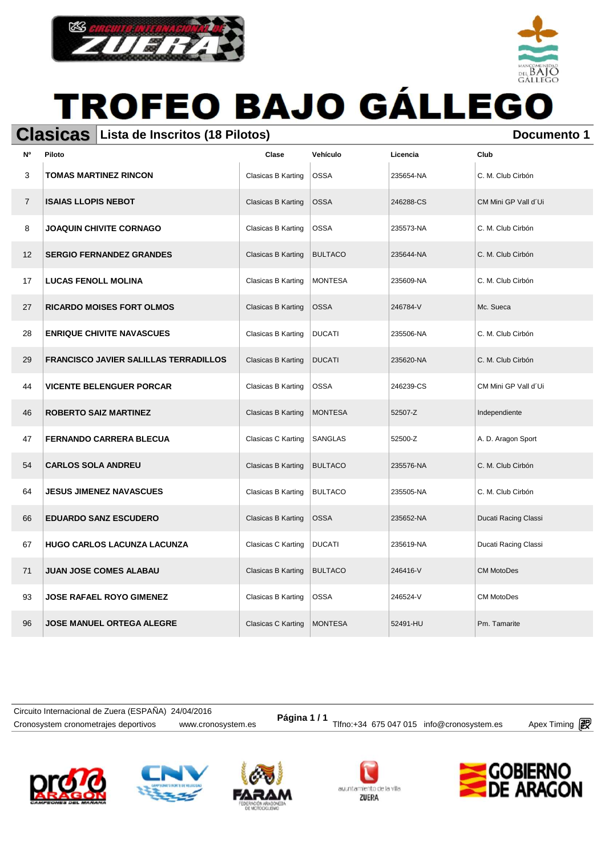



#### **Clasicas** Lista de Inscritos (18 Pilotos) **Documento 1** Documento 1

| N°             | Piloto                                       | Clase              | Vehículo       | Licencia  | Club                 |
|----------------|----------------------------------------------|--------------------|----------------|-----------|----------------------|
| 3              | <b>TOMAS MARTINEZ RINCON</b>                 | Clasicas B Karting | <b>OSSA</b>    | 235654-NA | C. M. Club Cirbón    |
| $\overline{7}$ | <b>ISAIAS LLOPIS NEBOT</b>                   | Clasicas B Karting | <b>OSSA</b>    | 246288-CS | CM Mini GP Vall d'Ui |
| 8              | <b>JOAQUIN CHIVITE CORNAGO</b>               | Clasicas B Karting | <b>OSSA</b>    | 235573-NA | C. M. Club Cirbón    |
| 12             | <b>SERGIO FERNANDEZ GRANDES</b>              | Clasicas B Karting | <b>BULTACO</b> | 235644-NA | C. M. Club Cirbón    |
| 17             | <b>LUCAS FENOLL MOLINA</b>                   | Clasicas B Karting | <b>MONTESA</b> | 235609-NA | C. M. Club Cirbón    |
| 27             | <b>RICARDO MOISES FORT OLMOS</b>             | Clasicas B Karting | <b>OSSA</b>    | 246784-V  | Mc. Sueca            |
| 28             | <b>ENRIQUE CHIVITE NAVASCUES</b>             | Clasicas B Karting | <b>DUCATI</b>  | 235506-NA | C. M. Club Cirbón    |
| 29             | <b>FRANCISCO JAVIER SALILLAS TERRADILLOS</b> | Clasicas B Karting | <b>DUCATI</b>  | 235620-NA | C. M. Club Cirbón    |
| 44             | <b>VICENTE BELENGUER PORCAR</b>              | Clasicas B Karting | <b>OSSA</b>    | 246239-CS | CM Mini GP Vall d'Ui |
| 46             | <b>ROBERTO SAIZ MARTINEZ</b>                 | Clasicas B Karting | <b>MONTESA</b> | 52507-Z   | Independiente        |
| 47             | <b>FERNANDO CARRERA BLECUA</b>               | Clasicas C Karting | <b>SANGLAS</b> | 52500-Z   | A. D. Aragon Sport   |
| 54             | <b>CARLOS SOLA ANDREU</b>                    | Clasicas B Karting | <b>BULTACO</b> | 235576-NA | C. M. Club Cirbón    |
| 64             | <b>JESUS JIMENEZ NAVASCUES</b>               | Clasicas B Karting | <b>BULTACO</b> | 235505-NA | C. M. Club Cirbón    |
| 66             | <b>EDUARDO SANZ ESCUDERO</b>                 | Clasicas B Karting | <b>OSSA</b>    | 235652-NA | Ducati Racing Classi |
| 67             | <b>HUGO CARLOS LACUNZA LACUNZA</b>           | Clasicas C Karting | <b>DUCATI</b>  | 235619-NA | Ducati Racing Classi |
| 71             | <b>JUAN JOSE COMES ALABAU</b>                | Clasicas B Karting | <b>BULTACO</b> | 246416-V  | <b>CM MotoDes</b>    |
| 93             | <b>JOSE RAFAEL ROYO GIMENEZ</b>              | Clasicas B Karting | <b>OSSA</b>    | 246524-V  | <b>CM MotoDes</b>    |
| 96             | <b>JOSE MANUEL ORTEGA ALEGRE</b>             | Clasicas C Karting | <b>MONTESA</b> | 52491-HU  | Pm. Tamarite         |

Cronosystem cronometrajes deportivos www.cronosystem.es Tlfno:+34 675 047 015 info@cronosystem.es Apex Timing **Página 1 / 1** Circuito Internacional de Zuera (ESPAÑA) 24/04/2016









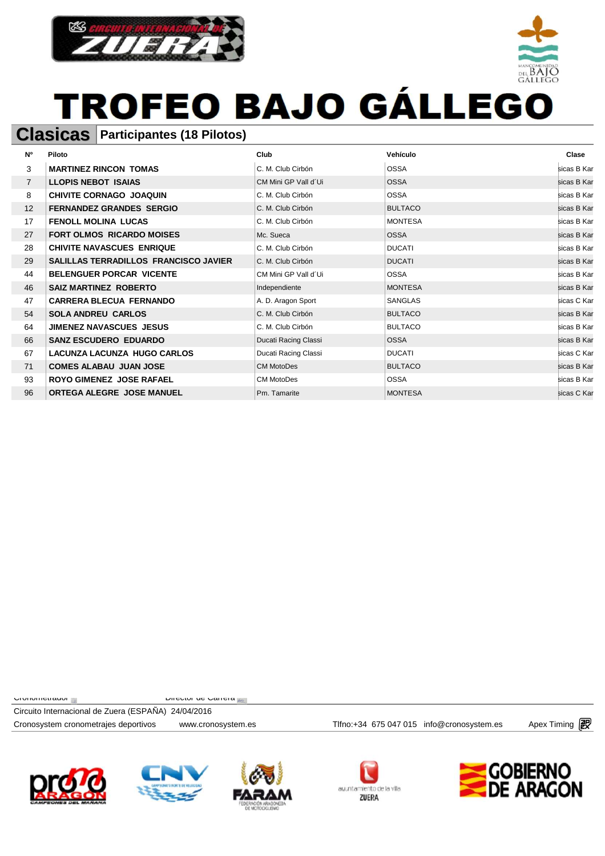



#### **Clasicas Participantes (18 Pilotos)**

| <b>N°</b>         | Piloto                                       | Club                 | Vehículo       | Clase       |
|-------------------|----------------------------------------------|----------------------|----------------|-------------|
| 3                 | <b>MARTINEZ RINCON TOMAS</b>                 | C. M. Club Cirbón    | <b>OSSA</b>    | sicas B Kar |
| $\overline{7}$    | <b>LLOPIS NEBOT ISAIAS</b>                   | CM Mini GP Vall d'Ui | <b>OSSA</b>    | sicas B Kar |
| 8                 | <b>CHIVITE CORNAGO JOAQUIN</b>               | C. M. Club Cirbón    | <b>OSSA</b>    | sicas B Kar |
| $12 \overline{ }$ | <b>FERNANDEZ GRANDES SERGIO</b>              | C. M. Club Cirbón    | <b>BULTACO</b> | sicas B Kar |
| 17                | <b>FENOLL MOLINA LUCAS</b>                   | C. M. Club Cirbón    | <b>MONTESA</b> | sicas B Kar |
| 27                | <b>FORT OLMOS RICARDO MOISES</b>             | Mc. Sueca            | <b>OSSA</b>    | sicas B Kar |
| 28                | <b>CHIVITE NAVASCUES ENRIQUE</b>             | C. M. Club Cirbón    | <b>DUCATI</b>  | sicas B Kar |
| 29                | <b>SALILLAS TERRADILLOS FRANCISCO JAVIER</b> | C. M. Club Cirbón    | <b>DUCATI</b>  | sicas B Kar |
| 44                | <b>BELENGUER PORCAR VICENTE</b>              | CM Mini GP Vall d'Ui | <b>OSSA</b>    | sicas B Kar |
| 46                | <b>SAIZ MARTINEZ ROBERTO</b>                 | Independiente        | <b>MONTESA</b> | sicas B Kar |
| 47                | <b>CARRERA BLECUA FERNANDO</b>               | A. D. Aragon Sport   | <b>SANGLAS</b> | sicas C Kar |
| 54                | <b>SOLA ANDREU CARLOS</b>                    | C. M. Club Cirbón    | <b>BULTACO</b> | sicas B Kar |
| 64                | <b>JIMENEZ NAVASCUES JESUS</b>               | C. M. Club Cirbón    | <b>BULTACO</b> | sicas B Kar |
| 66                | <b>SANZ ESCUDERO EDUARDO</b>                 | Ducati Racing Classi | <b>OSSA</b>    | sicas B Kar |
| 67                | <b>LACUNZA LACUNZA HUGO CARLOS</b>           | Ducati Racing Classi | <b>DUCATI</b>  | sicas C Kar |
| 71                | <b>COMES ALABAU JUAN JOSE</b>                | <b>CM MotoDes</b>    | <b>BULTACO</b> | sicas B Kar |
| 93                | <b>ROYO GIMENEZ JOSE RAFAEL</b>              | <b>CM MotoDes</b>    | <b>OSSA</b>    | sicas B Kar |
| 96                | <b>ORTEGA ALEGRE JOSE MANUEL</b>             | Pm. Tamarite         | <b>MONTESA</b> | sicas C Kar |

 $C$ Cronometrador  $\frac{d}{dx}$  Director de Carrera  $\frac{d}{dx}$ 

Circuito Internacional de Zuera (ESPAÑA) 24/04/2016







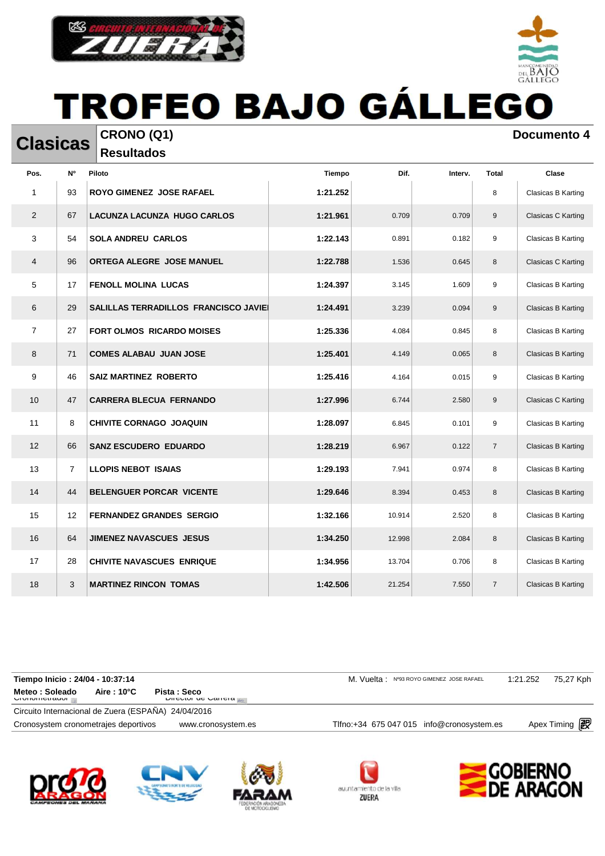



**Resultados** 

**Clasicas CRONO** (Q1) **Documento 4** 

| Pos.           | N°             | Piloto                               | Tiempo   | Dif.   | Interv. | <b>Total</b>   | Clase                     |
|----------------|----------------|--------------------------------------|----------|--------|---------|----------------|---------------------------|
| 1              | 93             | <b>ROYO GIMENEZ JOSE RAFAEL</b>      | 1:21.252 |        |         | 8              | Clasicas B Karting        |
| 2              | 67             | <b>LACUNZA LACUNZA HUGO CARLOS</b>   | 1:21.961 | 0.709  | 0.709   | 9              | Clasicas C Karting        |
| 3              | 54             | <b>SOLA ANDREU CARLOS</b>            | 1:22.143 | 0.891  | 0.182   | 9              | Clasicas B Karting        |
| 4              | 96             | ORTEGA ALEGRE JOSE MANUEL            | 1:22.788 | 1.536  | 0.645   | 8              | Clasicas C Karting        |
| 5              | 17             | <b>FENOLL MOLINA LUCAS</b>           | 1:24.397 | 3.145  | 1.609   | 9              | Clasicas B Karting        |
| 6              | 29             | SALILLAS TERRADILLOS FRANCISCO JAVIE | 1:24.491 | 3.239  | 0.094   | 9              | Clasicas B Karting        |
| $\overline{7}$ | 27             | <b>FORT OLMOS RICARDO MOISES</b>     | 1:25.336 | 4.084  | 0.845   | 8              | Clasicas B Karting        |
| 8              | 71             | <b>COMES ALABAU JUAN JOSE</b>        | 1:25.401 | 4.149  | 0.065   | 8              | Clasicas B Karting        |
| 9              | 46             | <b>SAIZ MARTINEZ ROBERTO</b>         | 1:25.416 | 4.164  | 0.015   | 9              | Clasicas B Karting        |
| 10             | 47             | <b>CARRERA BLECUA FERNANDO</b>       | 1:27.996 | 6.744  | 2.580   | 9              | Clasicas C Karting        |
| 11             | 8              | CHIVITE CORNAGO JOAQUIN              | 1:28.097 | 6.845  | 0.101   | 9              | Clasicas B Karting        |
| 12             | 66             | <b>SANZ ESCUDERO EDUARDO</b>         | 1:28.219 | 6.967  | 0.122   | $\overline{7}$ | Clasicas B Karting        |
| 13             | $\overline{7}$ | <b>LLOPIS NEBOT ISAIAS</b>           | 1:29.193 | 7.941  | 0.974   | 8              | Clasicas B Karting        |
| 14             | 44             | BELENGUER PORCAR VICENTE             | 1:29.646 | 8.394  | 0.453   | 8              | Clasicas B Karting        |
| 15             | 12             | <b>FERNANDEZ GRANDES SERGIO</b>      | 1:32.166 | 10.914 | 2.520   | 8              | Clasicas B Karting        |
| 16             | 64             | <b>JIMENEZ NAVASCUES JESUS</b>       | 1:34.250 | 12.998 | 2.084   | 8              | <b>Clasicas B Karting</b> |
| 17             | 28             | <b>CHIVITE NAVASCUES ENRIQUE</b>     | 1:34.956 | 13.704 | 0.706   | 8              | Clasicas B Karting        |
| 18             | 3              | <b>MARTINEZ RINCON TOMAS</b>         | 1:42.506 | 21.254 | 7.550   | $\overline{7}$ | <b>Clasicas B Karting</b> |

Cronosystem cronometrajes deportivos www.cronosystem.es Tlfno:+34 675 047 015 info@cronosystem.es Apex Timing Circuito Internacional de Zuera (ESPAÑA) 24/04/2016 Aire : 10°C Pista : Seco<br>Director de Carrera **Tiempo Inicio : 24/04 - 10:37:14 M. Vuelta : Nº93 ROYO GIMENEZ JOSE RAFAEL** 1:21.252 75,27 Kph **Meteo : Soleado**<br>Cromometrador









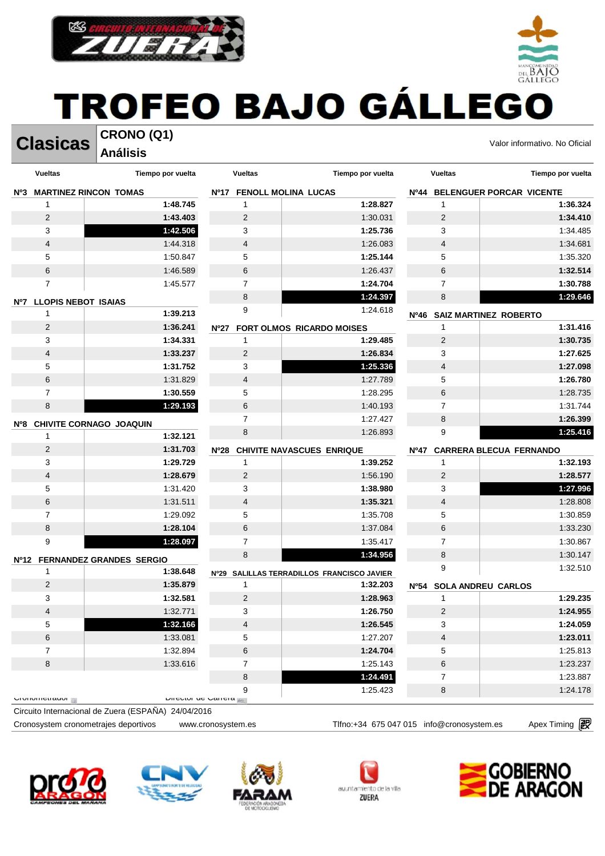

#### TROFEO BAJO GÁLLEGO **CRONO (Q1)**



**Análisis** 

| Tiempo por vuelta                               |
|-------------------------------------------------|
| Nº44 BELENGUER PORCAR VICENTE                   |
| 1:36.324                                        |
| 1:34.410                                        |
| 1:34.485                                        |
| 1:34.681                                        |
| 1:35.320                                        |
| 1:32.514                                        |
| 1:30.788                                        |
| 1:29.646                                        |
| Nº46 SAIZ MARTINEZ ROBERTO                      |
| 1:31.416                                        |
| 1:30.735                                        |
| 1:27.625                                        |
| 1:27.098                                        |
| 1:26.780                                        |
| 1:28.735                                        |
| 1:31.744                                        |
| 1:26.399                                        |
| 1:25.416                                        |
| <b>CARRERA BLECUA FERNANDO</b>                  |
| 1:32.193                                        |
| 1:28.577                                        |
| 1:27.996                                        |
| 1:28.808                                        |
| 1:30.859                                        |
| 1:33.230                                        |
| 1:30.867                                        |
| 1:30.147                                        |
| 1:32.510                                        |
|                                                 |
| 1:29.235                                        |
| 1:24.955                                        |
| 1:24.059                                        |
| 1:23.011                                        |
| 1:25.813                                        |
| 1:23.237                                        |
| 1:23.887                                        |
| 1:24.178                                        |
|                                                 |
| Nº54 SOLA ANDREU CARLOS<br>Apex Timing <b>图</b> |











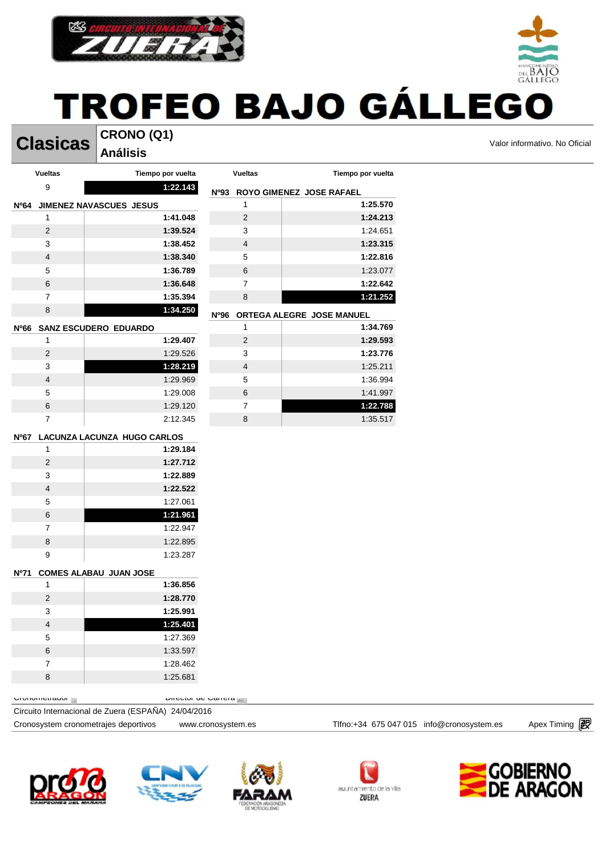

**Clasicas** CRONO (Q1) **CRONO (Q1)** Valor informativo. No Oficial

#### **CRONO (Q1) Análisis**

 $DEBAIC$ 

|      | <b>Vueltas</b>          | Tiempo por vuelta                | <b>Vueltas</b>          | Tiempo por vuelta             |
|------|-------------------------|----------------------------------|-------------------------|-------------------------------|
|      | 9                       | 1:22.143                         |                         | Nº93 ROYO GIMENEZ JOSE RAFAEL |
|      |                         | Nº64 JIMENEZ NAVASCUES JESUS     | 1                       | 1:25.570                      |
|      | 1                       | 1:41.048                         | $\sqrt{2}$              | 1:24.213                      |
|      | $\overline{2}$          | 1:39.524                         | 3                       | 1:24.651                      |
|      | 3                       | 1:38.452                         | $\overline{\mathbf{4}}$ | 1:23.315                      |
|      | 4                       | 1:38.340                         | 5                       | 1:22.816                      |
|      | 5                       | 1:36.789                         | $\,6$                   | 1:23.077                      |
|      | 6                       | 1:36.648                         | 7                       | 1:22.642                      |
|      | $\overline{7}$          | 1:35.394                         | $\bf8$                  | 1:21.252                      |
|      | 8                       | 1:34.250                         | Nº96                    | ORTEGA ALEGRE JOSE MANUEL     |
| Nº66 |                         | <b>SANZ ESCUDERO EDUARDO</b>     | $\mathbf{1}$            | 1:34.769                      |
|      | 1                       | 1:29.407                         | $\overline{2}$          | 1:29.593                      |
|      | $\overline{2}$          | 1:29.526                         | 3                       | 1:23.776                      |
|      | 3                       | 1:28.219                         | 4                       | 1:25.211                      |
|      | 4                       | 1:29.969                         | 5                       | 1:36.994                      |
|      | 5                       | 1:29.008                         | $\,6$                   | 1:41.997                      |
|      | $\,6$                   | 1:29.120                         | 7                       | 1:22.788                      |
|      | $\overline{7}$          | 2:12.345                         | 8                       | 1:35.517                      |
|      |                         | Nº67 LACUNZA LACUNZA HUGO CARLOS |                         |                               |
|      | 1                       | 1:29.184                         |                         |                               |
|      | $\overline{2}$          | 1:27.712                         |                         |                               |
|      | 3                       | 1:22.889                         |                         |                               |
|      | $\overline{4}$          | 1:22.522                         |                         |                               |
|      | 5                       | 1:27.061                         |                         |                               |
|      | 6                       | 1:21.961                         |                         |                               |
|      | $\overline{7}$          | 1:22.947                         |                         |                               |
|      | 8                       | 1:22.895                         |                         |                               |
|      | 9                       | 1:23.287                         |                         |                               |
| Nº71 |                         | <b>COMES ALABAU JUAN JOSE</b>    |                         |                               |
|      | $\mathbf{1}$            | 1:36.856                         |                         |                               |
|      | $\overline{2}$          | 1:28.770                         |                         |                               |
|      | 3                       | 1:25.991                         |                         |                               |
|      | 4                       | 1:25.401                         |                         |                               |
|      | 5                       | 1:27.369                         |                         |                               |
|      | 6                       | 1:33.597                         |                         |                               |
|      | 7                       | 1:28.462                         |                         |                               |
|      | 8                       | 1:25.681                         |                         |                               |
|      |                         |                                  |                         |                               |
|      | <b>UIUIIUIIIEII auu</b> | P                                |                         |                               |

Circuito Internacional de Zuera (ESPAÑA) 24/04/2016









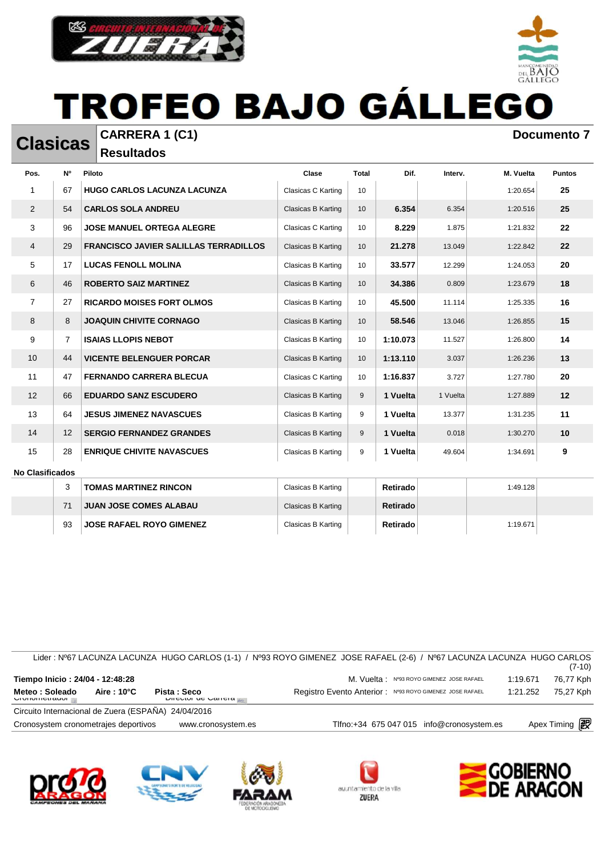

**Clasicas CARRERA 1 (C1) Documento 7 Documento 7 Resultados** 

| Pos.           | N <sup>o</sup> | Piloto                                       | Clase              | <b>Total</b> | Dif.     | Interv.  | M. Vuelta | <b>Puntos</b> |
|----------------|----------------|----------------------------------------------|--------------------|--------------|----------|----------|-----------|---------------|
|                | 67             | <b>HUGO CARLOS LACUNZA LACUNZA</b>           | Clasicas C Karting | 10           |          |          | 1:20.654  | 25            |
| 2              | 54             | <b>CARLOS SOLA ANDREU</b>                    | Clasicas B Karting | 10           | 6.354    | 6.354    | 1:20.516  | 25            |
| 3              | 96             | <b>JOSE MANUEL ORTEGA ALEGRE</b>             | Clasicas C Karting | 10           | 8.229    | 1.875    | 1:21.832  | 22            |
| 4              | 29             | <b>FRANCISCO JAVIER SALILLAS TERRADILLOS</b> | Clasicas B Karting | 10           | 21.278   | 13.049   | 1:22.842  | 22            |
| 5              | 17             | <b>LUCAS FENOLL MOLINA</b>                   | Clasicas B Karting | 10           | 33.577   | 12.299   | 1:24.053  | 20            |
| 6              | 46             | <b>ROBERTO SAIZ MARTINEZ</b>                 | Clasicas B Karting | 10           | 34.386   | 0.809    | 1:23.679  | 18            |
| $\overline{7}$ | 27             | <b>RICARDO MOISES FORT OLMOS</b>             | Clasicas B Karting | 10           | 45.500   | 11.114   | 1:25.335  | 16            |
| 8              | 8              | <b>JOAQUIN CHIVITE CORNAGO</b>               | Clasicas B Karting | 10           | 58.546   | 13.046   | 1:26.855  | 15            |
| 9              | $\overline{7}$ | <b>ISAIAS LLOPIS NEBOT</b>                   | Clasicas B Karting | 10           | 1:10.073 | 11.527   | 1:26.800  | 14            |
| 10             | 44             | <b>VICENTE BELENGUER PORCAR</b>              | Clasicas B Karting | 10           | 1:13.110 | 3.037    | 1:26.236  | 13            |
| 11             | 47             | <b>FERNANDO CARRERA BLECUA</b>               | Clasicas C Karting | 10           | 1:16.837 | 3.727    | 1:27.780  | 20            |
| 12             | 66             | <b>EDUARDO SANZ ESCUDERO</b>                 | Clasicas B Karting | 9            | 1 Vuelta | 1 Vuelta | 1:27.889  | 12            |
| 13             | 64             | <b>JESUS JIMENEZ NAVASCUES</b>               | Clasicas B Karting | 9            | 1 Vuelta | 13.377   | 1:31.235  | 11            |
| 14             | 12             | <b>SERGIO FERNANDEZ GRANDES</b>              | Clasicas B Karting | 9            | 1 Vuelta | 0.018    | 1:30.270  | 10            |
| 15             | 28             | <b>ENRIQUE CHIVITE NAVASCUES</b>             | Clasicas B Karting | 9            | 1 Vuelta | 49.604   | 1:34.691  | 9             |

#### **No Clasificados**

|    | <b>TOMAS MARTINEZ RINCON</b>    | Clasicas B Karting | Retirado  | 1:49.128 |  |
|----|---------------------------------|--------------------|-----------|----------|--|
|    | <b>JUAN JOSE COMES ALABAU</b>   | Clasicas B Karting | Retirado  |          |  |
| 93 | <b>JOSE RAFAEL ROYO GIMENEZ</b> | Clasicas B Karting | Retirado⊪ | 1:19.671 |  |

|                                                     |             |                                           | Lider : Nº67 LACUNZA LACUNZA HUGO CARLOS (1-1) / Nº93 ROYO GIMENEZ JOSE RAFAEL (2-6) / Nº67 LACUNZA LACUNZA HUGO CARLOS |          | $(7-10)$             |
|-----------------------------------------------------|-------------|-------------------------------------------|-------------------------------------------------------------------------------------------------------------------------|----------|----------------------|
| Tiempo Inicio: 24/04 - 12:48:28                     |             |                                           | M. Vuelta: Nº93 ROYO GIMENEZ JOSE RAFAEL                                                                                | 1:19.671 | 76,77 Kph            |
| Meteo: Soleado<br><b>UIUIIUIIIEII AUUI</b>          | Aire : 10°C | Pista: Seco<br><b>DIICULUI UC VALICIA</b> | Registro Evento Anterior: Nº93 ROYO GIMENEZ JOSE RAFAEL                                                                 | 1:21.252 | 75.27 Kph            |
| Circuito Internacional de Zuera (ESPAÑA) 24/04/2016 |             |                                           |                                                                                                                         |          |                      |
| Cronosystem cronometrajes deportivos                |             | www.cronosystem.es                        | Tlfno:+34 675 047 015 info@cronosystem.es                                                                               |          | Apex Timing <b>图</b> |











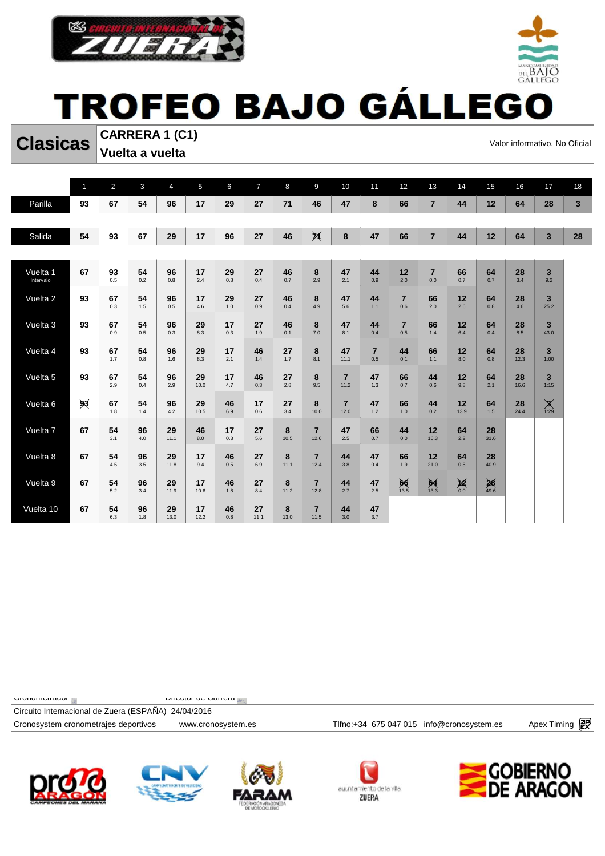



**Clasicas** CARRERA 1 (C1)<br>
Valor informativo. No Oficial **CARRERA 1 (C1) Vuelta a vuelta** 

|                       | $\mathbf{1}$ | $\overline{2}$ | $\mathbf{3}$ | $\overline{4}$ | 5          | 6         | $\overline{7}$ | 8         | 9                      | 10                     | 11                    | 12                    | 13                    | 14           | 15         | 16         | 17                                      | 18           |
|-----------------------|--------------|----------------|--------------|----------------|------------|-----------|----------------|-----------|------------------------|------------------------|-----------------------|-----------------------|-----------------------|--------------|------------|------------|-----------------------------------------|--------------|
| Parilla               | 93           | 67             | 54           | 96             | 17         | 29        | 27             | 71        | 46                     | 47                     | 8                     | 66                    | $\overline{7}$        | 44           | 12         | 64         | 28                                      | $\mathbf{3}$ |
|                       |              |                |              |                |            |           |                |           |                        |                        |                       |                       |                       |              |            |            |                                         |              |
| Salida                | 54           | 93             | 67           | 29             | 17         | 96        | 27             | 46        | 河                      | 8                      | 47                    | 66                    | $\overline{7}$        | 44           | 12         | 64         | $\overline{\mathbf{3}}$                 | 28           |
|                       |              |                |              |                |            |           |                |           |                        |                        |                       |                       |                       |              |            |            |                                         |              |
| Vuelta 1<br>Intervalo | 67           | 93<br>0.5      | 54<br>0.2    | 96<br>0.8      | 17<br>2.4  | 29<br>0.8 | 27<br>0.4      | 46<br>0.7 | 8<br>2.9               | 47<br>2.1              | 44<br>0.9             | 12<br>2.0             | $\overline{7}$<br>0.0 | 66<br>0.7    | 64<br>0.7  | 28<br>3.4  | 3<br>9.2                                |              |
|                       |              |                |              |                |            |           |                |           |                        |                        |                       |                       |                       |              |            |            |                                         |              |
| Vuelta 2              | 93           | 67<br>0.3      | 54<br>1.5    | 96<br>0.5      | 17<br>4.6  | 29<br>1.0 | 27<br>0.9      | 46<br>0.4 | 8<br>4.9               | 47<br>5.6              | 44<br>1.1             | $\overline{7}$<br>0.6 | 66<br>2.0             | 12<br>2.6    | 64<br>0.8  | 28<br>4.6  | 3<br>25.2                               |              |
| Vuelta 3              | 93           | 67             | 54           | 96             | 29         | 17        | 27             | 46        | 8                      | 47                     | 44                    | $\overline{7}$        | 66                    | 12           | 64         | 28         | $\overline{\mathbf{3}}$                 |              |
|                       |              | 0.9            | 0.5          | 0.3            | 8.3        | 0.3       | 1.9            | 0.1       | 7.0                    | 8.1                    | 0.4                   | 0.5                   | 1.4                   | 6.4          | 0.4        | 8.5        | 43.0                                    |              |
| Vuelta 4              | 93           | 67<br>1.7      | 54<br>0.8    | 96<br>1.6      | 29<br>8.3  | 17<br>2.1 | 46<br>1.4      | 27<br>1.7 | 8<br>8.1               | 47<br>11.1             | $\overline{7}$<br>0.5 | 44<br>0.1             | 66<br>1.1             | 12<br>8.0    | 64<br>0.8  | 28<br>12.3 | 3<br>1:00                               |              |
|                       |              |                |              |                |            |           |                |           |                        |                        |                       |                       |                       |              |            |            |                                         |              |
| Vuelta 5              | 93           | 67<br>2.9      | 54<br>0.4    | 96<br>2.9      | 29<br>10.0 | 17<br>4.7 | 46<br>0.3      | 27<br>2.8 | 8<br>9.5               | $\overline{7}$<br>11.2 | 47<br>1.3             | 66<br>0.7             | 44<br>0.6             | 12<br>9.8    | 64<br>2.1  | 28<br>16.6 | $\overline{3}$<br>1:15                  |              |
| Vuelta 6              | 93           | 67             | 54           | 96             | 29         | 46        | 17             | 27        | 8                      | $\overline{7}$         | 47                    | 66                    | 44                    | 12           | 64         | 28         | $\mathbf{X}_{\scriptscriptstyle{1:29}}$ |              |
|                       |              | 1.8            | 1.4          | 4.2            | 10.5       | 6.9       | 0.6            | 3.4       | 10.0                   | 12.0                   | 1.2                   | 1.0                   | 0.2                   | 13.9         | 1.5        | 24.4       |                                         |              |
| Vuelta 7              | 67           | 54<br>3.1      | 96<br>4.0    | 29<br>11.1     | 46<br>8.0  | 17<br>0.3 | 27<br>5.6      | 8<br>10.5 | $\overline{7}$<br>12.6 | 47<br>2.5              | 66<br>0.7             | 44<br>0.0             | 12<br>16.3            | 64<br>2.2    | 28<br>31.6 |            |                                         |              |
|                       |              |                |              |                |            |           |                |           |                        |                        |                       |                       |                       |              |            |            |                                         |              |
| Vuelta 8              | 67           | 54<br>4.5      | 96<br>3.5    | 29<br>11.8     | 17<br>9.4  | 46<br>0.5 | 27<br>6.9      | 8<br>11.1 | $\overline{7}$<br>12.4 | 44<br>3.8              | 47<br>0.4             | 66<br>1.9             | 12<br>21.0            | 64<br>0.5    | 28<br>40.9 |            |                                         |              |
| Vuelta 9              | 67           | 54             | 96           | 29             | 17         | 46        | 27             | 8         | $\overline{7}$         | 44                     | 47                    | 66                    | 64                    | $\sum_{0.0}$ | 28         |            |                                         |              |
|                       |              | 5.2            | 3.4          | 11.9           | 10.6       | 1.8       | 8.4            | 11.2      | 12.8                   | 2.7                    | 2.5                   | 13.5                  | 13.3                  |              | 49.6       |            |                                         |              |
| Vuelta 10             | 67           | 54<br>6.3      | 96<br>1.8    | 29<br>13.0     | 17<br>12.2 | 46<br>0.8 | 27<br>11.1     | 8<br>13.0 | $\overline{7}$<br>11.5 | 44<br>3.0              | 47<br>3.7             |                       |                       |              |            |            |                                         |              |

 $C$ Cronometrador  $\mathbb{R}$  and  $C$  Director de Carrera  $\mathbb{R}$ 

Cronosystem cronometrajes deportivos www.cronosystem.es Tlfno:+34 675 047 015 info@cronosystem.es Apex Timing Circuito Internacional de Zuera (ESPAÑA) 24/04/2016









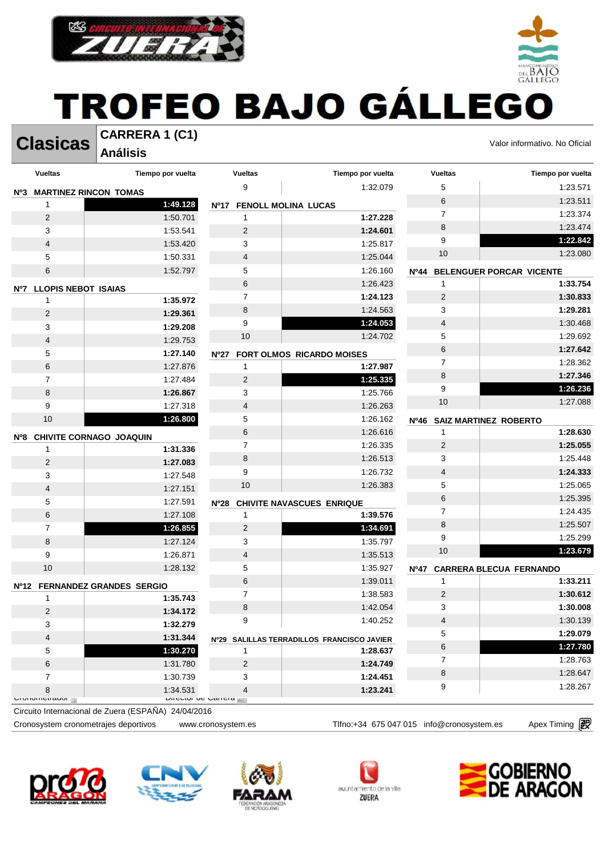



**Clasicas** CARRERA 1 (C1)<br>
Valor informativo. No Oficial

**DEL BAIO** 

**Análisis** 

|                  | <b>Vueltas</b>             | Tiempo por vuelta                           | <b>Vueltas</b>           | Tiempo por vuelta                                      | <b>Vueltas</b>             | Tiempo por vuelta               |
|------------------|----------------------------|---------------------------------------------|--------------------------|--------------------------------------------------------|----------------------------|---------------------------------|
| N <sup>o</sup> 3 |                            | <b>MARTINEZ RINCON TOMAS</b>                | 9                        | 1:32.079                                               | 5                          | 1:23.571                        |
|                  | 1                          | 1:49.128                                    | Nº17                     | <b>FENOLL MOLINA LUCAS</b>                             | $6\phantom{1}6$            | 1:23.511                        |
|                  | 2                          | 1:50.701                                    | 1                        | 1:27.228                                               | $\overline{7}$             | 1:23.374                        |
|                  | 3                          | 1:53.541                                    | $\overline{2}$           | 1:24.601                                               | 8                          | 1:23.474                        |
|                  | 4                          | 1:53.420                                    | 3                        | 1:25.817                                               | 9                          | 1:22.842                        |
|                  | 5                          | 1:50.331                                    | 4                        | 1:25.044                                               | 10                         | 1:23.080                        |
|                  | 6                          | 1:52.797                                    | 5                        | 1:26.160                                               | <b>Nº44</b>                | <b>BELENGUER PORCAR VICENTE</b> |
| Nº7              | <b>LLOPIS NEBOT ISAIAS</b> |                                             | 6                        | 1:26.423                                               | 1                          | 1:33.754                        |
|                  | $\mathbf{1}$               | 1:35.972                                    | $\overline{7}$           | 1:24.123                                               | $\overline{2}$             | 1:30.833                        |
|                  | 2                          | 1:29.361                                    | 8                        | 1:24.563                                               | 3                          | 1:29.281                        |
|                  | 3                          | 1:29.208                                    | 9                        | 1:24.053                                               | $\overline{4}$             | 1:30.468                        |
|                  | 4                          | 1:29.753                                    | 10                       | 1:24.702                                               | 5                          | 1:29.692                        |
|                  | 5                          | 1:27.140                                    | Nº27                     | FORT OLMOS RICARDO MOISES                              | $6\phantom{1}$             | 1:27.642                        |
|                  | 6                          | 1:27.876                                    | 1                        | 1:27.987                                               | $\overline{7}$             | 1:28.362                        |
|                  | $\overline{7}$             | 1:27.484                                    | $\overline{2}$           | 1:25.335                                               | 8                          | 1:27.346                        |
|                  | 8                          | 1:26.867                                    | 3                        | 1:25.766                                               | 9                          | 1:26.236                        |
|                  | 9                          | 1:27.318                                    | $\overline{\mathcal{L}}$ | 1:26.263                                               | 10                         | 1:27.088                        |
|                  | 10                         | 1:26.800                                    | 5                        | 1:26.162                                               | Nº46 SAIZ MARTINEZ ROBERTO |                                 |
| Nº8              |                            |                                             | 6                        | 1:26.616                                               | $\mathbf{1}$               | 1:28.630                        |
|                  | 1                          | CHIVITE CORNAGO JOAQUIN<br>1:31.336         | $\overline{7}$           | 1:26.335                                               | $\overline{2}$             | 1:25.055                        |
|                  | 2                          | 1:27.083                                    | 8                        | 1:26.513                                               | 3                          | 1:25.448                        |
|                  | 3                          | 1:27.548                                    | 9                        | 1:26.732                                               | $\overline{4}$             | 1:24.333                        |
|                  | 4                          | 1:27.151                                    | $10$                     | 1:26.383                                               | 5                          | 1:25.065                        |
|                  | 5                          | 1:27.591                                    | N <sup>o</sup> 28        | <b>CHIVITE NAVASCUES ENRIQUE</b>                       | 6                          | 1:25.395                        |
|                  | 6                          | 1:27.108                                    | $\mathbf{1}$             | 1:39.576                                               | $\overline{7}$             | 1:24.435                        |
|                  | $\overline{7}$             | 1:26.855                                    | $\overline{2}$           | 1:34.691                                               | 8                          | 1:25.507                        |
|                  | 8                          | 1:27.124                                    | 3                        | 1:35.797                                               | 9                          | 1:25.299                        |
|                  | 9                          | 1:26.871                                    | 4                        | 1:35.513                                               | 10                         | 1:23.679                        |
|                  | 10                         | 1:28.132                                    | 5                        | 1:35.927                                               | N <sup>0</sup> 47          | <b>CARRERA BLECUA FERNANDO</b>  |
|                  |                            |                                             | 6                        | 1:39.011                                               | $\mathbf{1}$               | 1:33.211                        |
| Nº12             | 1                          | <b>FERNANDEZ GRANDES SERGIO</b><br>1:35.743 | $\overline{7}$           | 1:38.583                                               | $\overline{2}$             | 1:30.612                        |
|                  | 2                          | 1:34.172                                    | 8                        | 1:42.054                                               | 3                          | 1:30.008                        |
|                  | 3                          | 1:32.279                                    | 9                        | 1:40.252                                               | $\overline{4}$             | 1:30.139                        |
|                  | $\overline{\mathbf{4}}$    | 1:31.344                                    |                          |                                                        | 5                          | 1:29.079                        |
|                  | 5                          | 1:30.270                                    | 1                        | Nº29 SALILLAS TERRADILLOS FRANCISCO JAVIER<br>1:28.637 | $\,6$                      | 1:27.780                        |
|                  | 6                          | 1:31.780                                    | 2                        | 1:24.749                                               | $\overline{7}$             | 1:28.763                        |
|                  | $\overline{7}$             | 1:30.739                                    | 3                        | 1:24.451                                               | 8                          | 1:28.647                        |
|                  | 8                          | 1:34.531                                    | 4                        | 1:23.241                                               | 9                          | 1:28.267                        |
|                  | <b>UIUIIUIIIEII dUUI</b>   | <b>DIFFULLITY OF CALL CITY</b>              |                          |                                                        |                            |                                 |

Circuito Internacional de Zuera (ESPAÑA) 24/04/2016









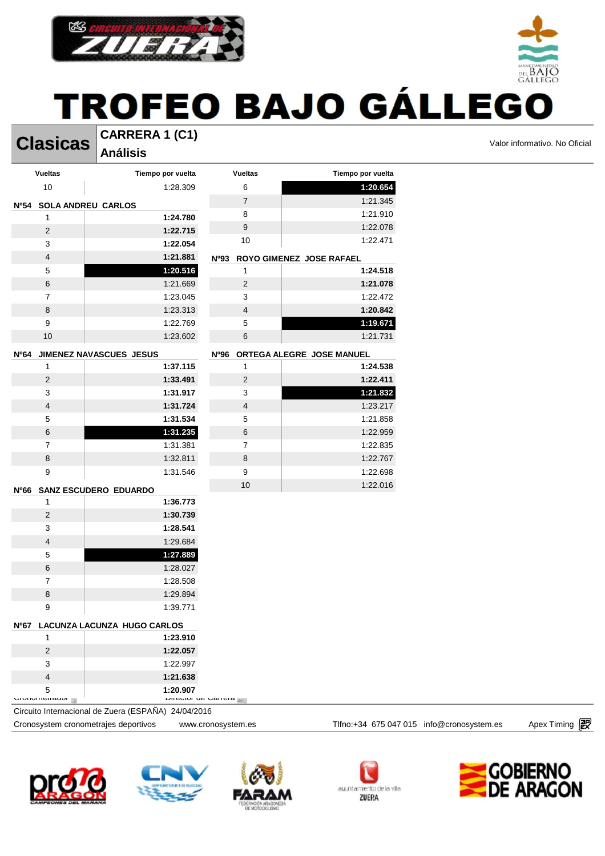

**Clasicas** CARRERA 1 (C1) **CLASICAS** 

**CARRERA 1 (C1) Análisis** 

 $_{\rm{DH}}$  BAIC

|                               | Anansis                                             |                         |                                |                                           |                      |
|-------------------------------|-----------------------------------------------------|-------------------------|--------------------------------|-------------------------------------------|----------------------|
| <b>Vueltas</b>                | Tiempo por vuelta                                   | <b>Vueltas</b>          | Tiempo por vuelta              |                                           |                      |
| $10$                          | 1:28.309                                            | 6                       | 1:20.654                       |                                           |                      |
| Nº54 SOLA ANDREU CARLOS       |                                                     | $\overline{7}$          | 1:21.345                       |                                           |                      |
| $\mathbf{1}$                  | 1:24.780                                            | 8                       | 1:21.910                       |                                           |                      |
| $\overline{2}$                | 1:22.715                                            | 9                       | 1:22.078                       |                                           |                      |
| 3                             | 1:22.054                                            | 10                      | 1:22.471                       |                                           |                      |
| $\overline{4}$                | 1:21.881                                            |                         | Nº93 ROYO GIMENEZ JOSE RAFAEL  |                                           |                      |
| $\,$ 5 $\,$                   | 1:20.516                                            | $\mathbf{1}$            | 1:24.518                       |                                           |                      |
| 6                             | 1:21.669                                            | $\overline{c}$          | 1:21.078                       |                                           |                      |
| $\overline{7}$                | 1:23.045                                            | 3                       | 1:22.472                       |                                           |                      |
| 8                             | 1:23.313                                            | $\overline{4}$          | 1:20.842                       |                                           |                      |
| 9                             | 1:22.769                                            | 5                       | 1:19.671                       |                                           |                      |
| 10                            | 1:23.602                                            | $\,6\,$                 | 1:21.731                       |                                           |                      |
| Nº64                          | JIMENEZ NAVASCUES JESUS                             |                         | Nº96 ORTEGA ALEGRE JOSE MANUEL |                                           |                      |
| $\mathbf{1}$                  | 1:37.115                                            | $\mathbf{1}$            | 1:24.538                       |                                           |                      |
| $\overline{c}$                | 1:33.491                                            | $\overline{2}$          | 1:22.411                       |                                           |                      |
| 3                             | 1:31.917                                            | 3                       | 1:21.832                       |                                           |                      |
| $\overline{4}$                | 1:31.724                                            | $\overline{4}$          | 1:23.217                       |                                           |                      |
| 5                             | 1:31.534                                            | 5                       | 1:21.858                       |                                           |                      |
| 6                             | 1:31.235                                            | 6                       | 1:22.959                       |                                           |                      |
| $\overline{7}$                | 1:31.381                                            | $\overline{7}$          | 1:22.835                       |                                           |                      |
| 8                             | 1:32.811                                            | 8                       | 1:22.767                       |                                           |                      |
| 9                             | 1:31.546                                            | 9                       | 1:22.698                       |                                           |                      |
|                               | Nº66 SANZ ESCUDERO EDUARDO                          | 10                      | 1:22.016                       |                                           |                      |
| $\mathbf{1}$                  | 1:36.773                                            |                         |                                |                                           |                      |
| $\overline{2}$                | 1:30.739                                            |                         |                                |                                           |                      |
| 3                             | 1:28.541                                            |                         |                                |                                           |                      |
| $\overline{4}$                | 1:29.684                                            |                         |                                |                                           |                      |
| 5                             | 1:27.889                                            |                         |                                |                                           |                      |
| $\,6$                         | 1:28.027                                            |                         |                                |                                           |                      |
| $\overline{7}$                | 1:28.508                                            |                         |                                |                                           |                      |
| 8                             | 1:29.894                                            |                         |                                |                                           |                      |
| 9                             | 1:39.771                                            |                         |                                |                                           |                      |
|                               | Nº67 LACUNZA LACUNZA HUGO CARLOS                    |                         |                                |                                           |                      |
| 1                             | 1:23.910                                            |                         |                                |                                           |                      |
| $\overline{2}$                | 1:22.057                                            |                         |                                |                                           |                      |
| 3                             | 1:22.997                                            |                         |                                |                                           |                      |
| $\overline{4}$                | 1:21.638                                            |                         |                                |                                           |                      |
| 5<br><b>UIUIIUIII</b> UIIUIUI | 1:20.907                                            | DIICULUI UC UQIICIO 200 |                                |                                           |                      |
|                               | Circuito Internacional de Zuera (ESPAÑA) 24/04/2016 |                         |                                |                                           |                      |
|                               | Cronosystem cronometrajes deportivos                | www.cronosystem.es      |                                | Tlfno:+34 675 047 015 info@cronosystem.es | Apex Timing <b>图</b> |









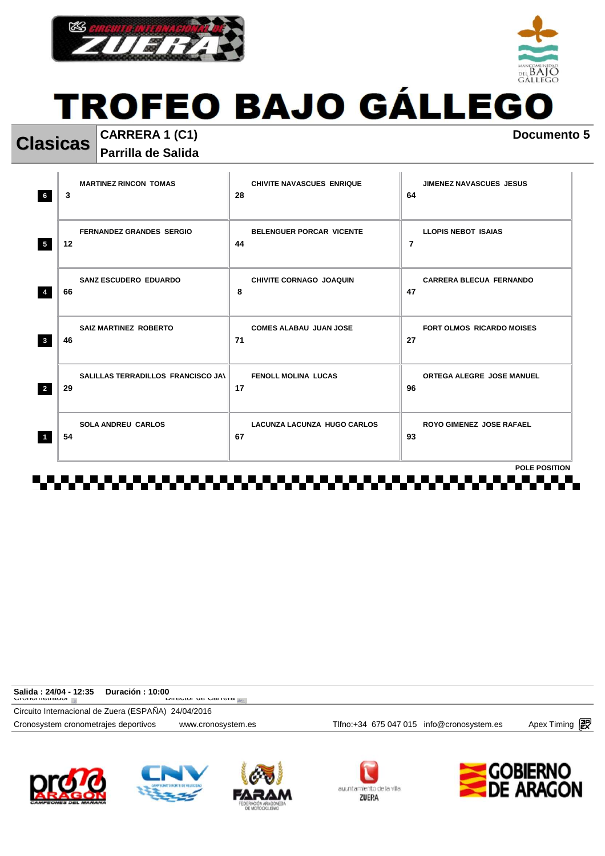



**Clasicas CARRERA 1 (C1) Documento 5 Parrilla de Salida** 

| <b>MARTINEZ RINCON TOMAS</b><br>3<br>6                     | <b>CHIVITE NAVASCUES ENRIQUE</b><br>28   | <b>JIMENEZ NAVASCUES JESUS</b><br>64         |
|------------------------------------------------------------|------------------------------------------|----------------------------------------------|
| <b>FERNANDEZ GRANDES SERGIO</b><br>12<br>$5\phantom{.0}$   | <b>BELENGUER PORCAR VICENTE</b><br>44    | <b>LLOPIS NEBOT ISAIAS</b><br>$\overline{7}$ |
| <b>SANZ ESCUDERO EDUARDO</b><br>66                         | <b>CHIVITE CORNAGO JOAQUIN</b><br>8      | <b>CARRERA BLECUA FERNANDO</b><br>47         |
| <b>SAIZ MARTINEZ ROBERTO</b><br>$\mathbf{3}$<br>46         | <b>COMES ALABAU JUAN JOSE</b><br>71      | <b>FORT OLMOS RICARDO MOISES</b><br>27       |
| SALILLAS TERRADILLOS FRANCISCO JAN<br>$\overline{2}$<br>29 | <b>FENOLL MOLINA LUCAS</b><br>17         | ORTEGA ALEGRE JOSE MANUEL<br>96              |
| <b>SOLA ANDREU CARLOS</b><br>54<br>$\overline{1}$          | <b>LACUNZA LACUNZA HUGO CARLOS</b><br>67 | <b>ROYO GIMENEZ JOSE RAFAEL</b><br>93        |
|                                                            |                                          | <b>POLE POSITION</b>                         |

| Salida : 24/04 - 12:35<br>Duración : 10:00          |                            |                                           |                      |
|-----------------------------------------------------|----------------------------|-------------------------------------------|----------------------|
| <b>UIUIIUIIIUIII</b> UUII                           | <b>DIICULUI UC VALICIA</b> |                                           |                      |
| Circuito Internacional de Zuera (ESPAÑA) 24/04/2016 |                            |                                           |                      |
| Cronosystem cronometrajes deportivos                | www.cronosystem.es         | Tlfno:+34 675 047 015 info@cronosystem.es | Apex Timing <b>i</b> |
|                                                     |                            |                                           |                      |









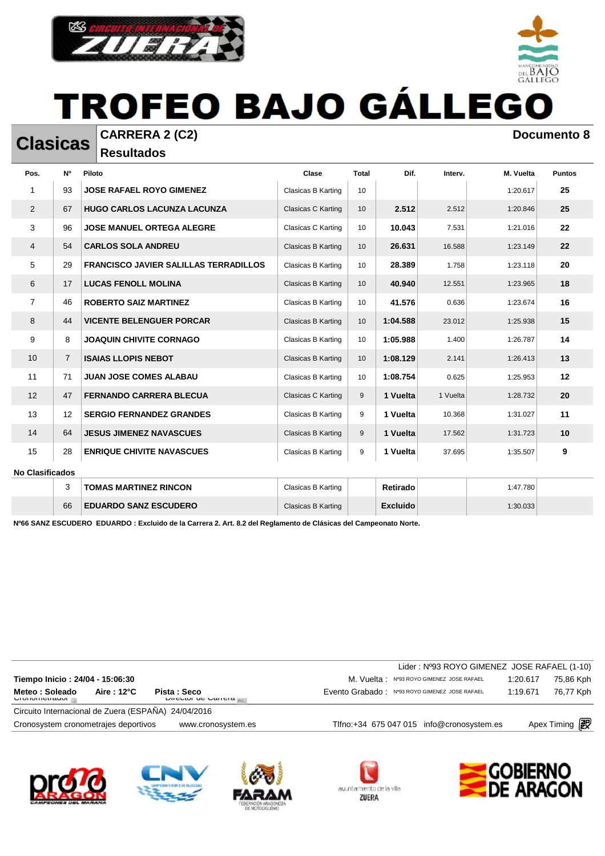

**Resultados** 

| Pos.                   | N°                | Piloto                                       | Clase              | <b>Total</b>    | Dif.     | Interv.  | M. Vuelta | <b>Puntos</b> |
|------------------------|-------------------|----------------------------------------------|--------------------|-----------------|----------|----------|-----------|---------------|
| 1                      | 93                | <b>JOSE RAFAEL ROYO GIMENEZ</b>              | Clasicas B Karting | 10              |          |          | 1:20.617  | 25            |
| 2                      | 67                | <b>HUGO CARLOS LACUNZA LACUNZA</b>           | Clasicas C Karting | 10              | 2.512    | 2.512    | 1:20.846  | 25            |
| 3                      | 96                | <b>JOSE MANUEL ORTEGA ALEGRE</b>             | Clasicas C Karting | 10 <sup>°</sup> | 10.043   | 7.531    | 1:21.016  | 22            |
| 4                      | 54                | <b>CARLOS SOLA ANDREU</b>                    | Clasicas B Karting | 10              | 26.631   | 16.588   | 1:23.149  | 22            |
| 5                      | 29                | <b>FRANCISCO JAVIER SALILLAS TERRADILLOS</b> | Clasicas B Karting | 10              | 28.389   | 1.758    | 1:23.118  | 20            |
| 6                      | 17                | <b>LUCAS FENOLL MOLINA</b>                   | Clasicas B Karting | 10              | 40.940   | 12.551   | 1:23.965  | 18            |
| $\overline{7}$         | 46                | <b>ROBERTO SAIZ MARTINEZ</b>                 | Clasicas B Karting | 10 <sup>°</sup> | 41.576   | 0.636    | 1:23.674  | 16            |
| 8                      | 44                | <b>VICENTE BELENGUER PORCAR</b>              | Clasicas B Karting | 10              | 1:04.588 | 23.012   | 1:25.938  | 15            |
| 9                      | 8                 | <b>JOAQUIN CHIVITE CORNAGO</b>               | Clasicas B Karting | 10              | 1:05.988 | 1.400    | 1:26.787  | 14            |
| 10                     | $\overline{7}$    | <b>ISAIAS LLOPIS NEBOT</b>                   | Clasicas B Karting | 10              | 1:08.129 | 2.141    | 1:26.413  | 13            |
| 11                     | 71                | <b>JUAN JOSE COMES ALABAU</b>                | Clasicas B Karting | 10              | 1:08.754 | 0.625    | 1:25.953  | 12            |
| 12                     | 47                | <b>FERNANDO CARRERA BLECUA</b>               | Clasicas C Karting | 9               | 1 Vuelta | 1 Vuelta | 1:28.732  | 20            |
| 13                     | $12 \overline{ }$ | <b>SERGIO FERNANDEZ GRANDES</b>              | Clasicas B Karting | 9               | 1 Vuelta | 10.368   | 1:31.027  | 11            |
| 14                     | 64                | <b>JESUS JIMENEZ NAVASCUES</b>               | Clasicas B Karting | 9               | 1 Vuelta | 17.562   | 1:31.723  | 10            |
| 15                     | 28                | <b>ENRIQUE CHIVITE NAVASCUES</b>             | Clasicas B Karting | 9               | 1 Vuelta | 37.695   | 1:35.507  | 9             |
| <b>No Clasificados</b> |                   |                                              |                    |                 |          |          |           |               |

| <b>No Clasificados</b> |  |
|------------------------|--|
|                        |  |

|    | <b>TOMAS MARTINEZ RINCON</b> | Clasicas B Karting | Retirado | 1:47.780 |  |
|----|------------------------------|--------------------|----------|----------|--|
| 66 | <b>EDUARDO SANZ ESCUDERO</b> | Clasicas B Karting | Excluido | 1:30.033 |  |

**Nº66 SANZ ESCUDERO EDUARDO : Excluido de la Carrera 2. Art. 8.2 del Reglamento de Clásicas del Campeonato Norte.**

|                                                                                                         | Lider: Nº93 ROYO GIMENEZ JOSE RAFAEL (1-10)   |          |                      |
|---------------------------------------------------------------------------------------------------------|-----------------------------------------------|----------|----------------------|
| Tiempo Inicio: 24/04 - 15:06:30                                                                         | M. Vuelta: Nº93 ROYO GIMENEZ JOSE RAFAEL      | 1:20.617 | 75,86 Kph            |
| Meteo : Soleado<br>Aire: $12^{\circ}$ C<br>Pista: Seco<br><b>DIFFULUI UP DAITEIA</b><br>UIVIIVIIItuauvi | Evento Grabado: Nº93 ROYO GIMENEZ JOSE RAFAEL | 1:19.671 | 76,77 Kph            |
| Circuito Internacional de Zuera (ESPAÑA) 24/04/2016                                                     |                                               |          |                      |
| Cronosystem cronometrajes deportivos<br>www.cronosystem.es                                              | Tlfno: +34 675 047 015 info@cronosystem.es    |          | Apex Timing <b>i</b> |
|                                                                                                         |                                               |          |                      |













#### **Clasicas CARRERA 2 (C2) Documento 8 Documento 8**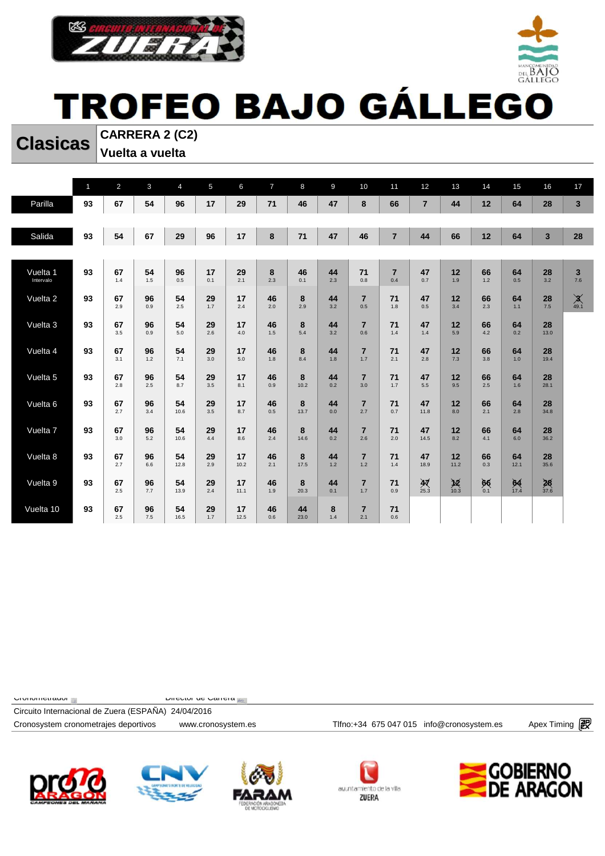



**Clasicas CARRERA 2 (C2) Vuelta a vuelta** 

|                       | $\mathbf{1}$ | $\overline{2}$ | $\mathbf{3}$ | $\overline{4}$ | $5\phantom{.0}$ | 6          | $\overline{7}$ | 8          | 9         | 10                    | 11                    | 12                        | 13                   | 14                  | 15           | 16                | 17                     |
|-----------------------|--------------|----------------|--------------|----------------|-----------------|------------|----------------|------------|-----------|-----------------------|-----------------------|---------------------------|----------------------|---------------------|--------------|-------------------|------------------------|
| Parilla               | 93           | 67             | 54           | 96             | 17              | 29         | 71             | 46         | 47        | 8                     | 66                    | $\overline{7}$            | 44                   | 12                  | 64           | 28                | $\mathbf{3}$           |
|                       |              |                |              |                |                 |            |                |            |           |                       |                       |                           |                      |                     |              |                   |                        |
| Salida                | 93           | 54             | 67           | 29             | 96              | 17         | 8              | 71         | 47        | 46                    | $\overline{7}$        | 44                        | 66                   | 12                  | 64           | $\mathbf{3}$      | 28                     |
|                       |              |                |              |                |                 |            |                |            |           |                       |                       |                           |                      |                     |              |                   |                        |
| Vuelta 1<br>Intervalo | 93           | 67<br>1.4      | 54<br>1.5    | 96<br>0.5      | 17<br>0.1       | 29<br>2.1  | 8<br>2.3       | 46<br>0.1  | 44<br>2.3 | 71<br>0.8             | $\overline{7}$<br>0.4 | 47<br>0.7                 | 12<br>1.9            | 66<br>1.2           | 64<br>0.5    | 28<br>3.2         | $\mathbf{3}$<br>7.6    |
| Vuelta 2              | 93           | 67<br>2.9      | 96<br>0.9    | 54<br>2.5      | 29<br>1.7       | 17<br>2.4  | 46<br>2.0      | 8<br>2.9   | 44<br>3.2 | $\overline{7}$<br>0.5 | 71<br>1.8             | 47<br>0.5                 | 12<br>3.4            | 66<br>2.3           | 64<br>1.1    | 28<br>7.5         | $\chi$ <sub>49.1</sub> |
| Vuelta 3              | 93           | 67<br>3.5      | 96<br>0.9    | 54<br>5.0      | 29<br>2.6       | 17<br>4.0  | 46<br>1.5      | 8<br>5.4   | 44<br>3.2 | $\overline{7}$<br>0.6 | 71<br>1.4             | 47<br>1.4                 | 12<br>5.9            | 66<br>4.2           | 64<br>0.2    | 28<br>13.0        |                        |
| Vuelta 4              | 93           | 67<br>3.1      | 96<br>1.2    | 54<br>7.1      | 29<br>3.0       | 17<br>5.0  | 46<br>1.8      | 8<br>8.4   | 44<br>1.8 | $\overline{7}$<br>1.7 | 71<br>2.1             | 47<br>2.8                 | 12<br>7.3            | 66<br>3.8           | 64<br>1.0    | 28<br>19.4        |                        |
| Vuelta 5              | 93           | 67<br>2.8      | 96<br>2.5    | 54<br>8.7      | 29<br>3.5       | 17<br>8.1  | 46<br>0.9      | 8<br>10.2  | 44<br>0.2 | $\overline{7}$<br>3.0 | 71<br>1.7             | 47<br>5.5                 | 12<br>9.5            | 66<br>2.5           | 64<br>1.6    | 28<br>28.1        |                        |
| Vuelta 6              | 93           | 67<br>2.7      | 96<br>3.4    | 54<br>10.6     | 29<br>3.5       | 17<br>8.7  | 46<br>0.5      | 8<br>13.7  | 44<br>0.0 | $\overline{7}$<br>2.7 | 71<br>0.7             | 47<br>11.8                | 12<br>8.0            | 66<br>2.1           | 64<br>2.8    | 28<br>34.8        |                        |
| Vuelta 7              | 93           | 67<br>3.0      | 96<br>5.2    | 54<br>10.6     | 29<br>4.4       | 17<br>8.6  | 46<br>2.4      | 8<br>14.6  | 44<br>0.2 | $\overline{7}$<br>2.6 | 71<br>2.0             | 47<br>14.5                | 12<br>8.2            | 66<br>4.1           | 64<br>6.0    | 28<br>36.2        |                        |
| Vuelta 8              | 93           | 67<br>2.7      | 96<br>6.6    | 54<br>12.8     | 29<br>2.9       | 17<br>10.2 | 46<br>2.1      | 8<br>17.5  | 44<br>1.2 | $\overline{7}$<br>1.2 | 71<br>1.4             | 47<br>18.9                | 12<br>11.2           | 66<br>0.3           | 64<br>12.1   | 28<br>35.6        |                        |
| Vuelta 9              | 93           | 67<br>2.5      | 96<br>7.7    | 54<br>13.9     | 29<br>2.4       | 17<br>11.1 | 46<br>1.9      | 8<br>20.3  | 44<br>0.1 | $\overline{7}$<br>1.7 | 71<br>0.9             | $\frac{\cancel{M}}{25.3}$ | $\cancel{12}_{10.3}$ | $66$ <sub>0.1</sub> | $64$<br>17.4 | $\frac{28}{37.6}$ |                        |
| Vuelta 10             | 93           | 67<br>2.5      | 96<br>7.5    | 54<br>16.5     | 29<br>1.7       | 17<br>12.5 | 46<br>0.6      | 44<br>23.0 | 8<br>1.4  | $\overline{7}$<br>2.1 | 71<br>0.6             |                           |                      |                     |              |                   |                        |

 $C$ Cronometrador  $\mathbb{R}$  and  $C$  Director de Carrera  $\mathbb{R}$ 

Circuito Internacional de Zuera (ESPAÑA) 24/04/2016









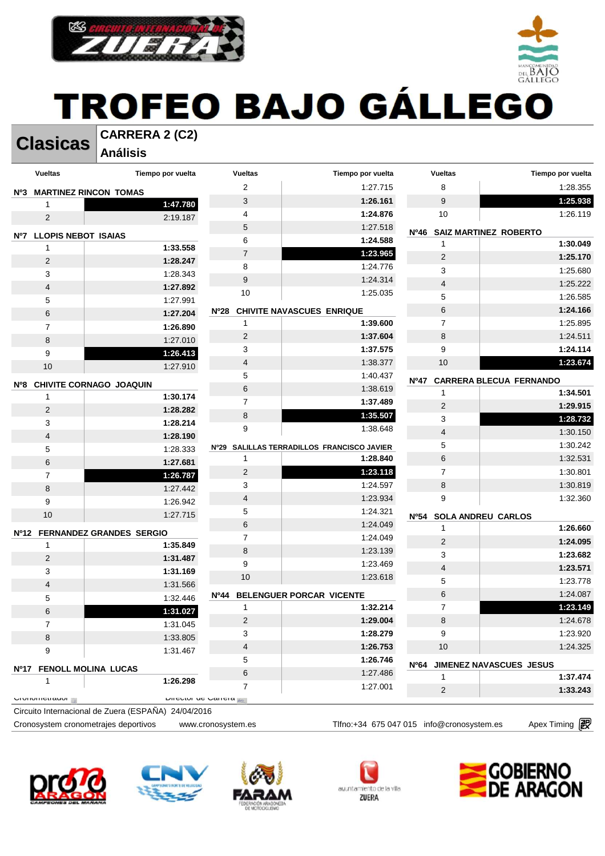



**Clasicas CARRERA 2 (C2) Análisis** 

| Nº3<br>1<br>$\overline{c}$<br><b>LLOPIS NEBOT ISAIAS</b><br>Nº7<br>1<br>2 | <b>MARTINEZ RINCON TOMAS</b><br>1:47.780<br>2:19.187<br>1:33.558 | $\overline{2}$<br>3<br>4<br>$\mathbf 5$ | 1:27.715<br>1:26.161<br>1:24.876           | 8<br>9                                   | 1:28.355<br>1:25.938           |
|---------------------------------------------------------------------------|------------------------------------------------------------------|-----------------------------------------|--------------------------------------------|------------------------------------------|--------------------------------|
|                                                                           |                                                                  |                                         |                                            |                                          |                                |
|                                                                           |                                                                  |                                         |                                            |                                          |                                |
|                                                                           |                                                                  |                                         |                                            | 10                                       | 1:26.119                       |
|                                                                           |                                                                  |                                         | 1:27.518                                   | <b>Nº46</b><br>SAIZ MARTINEZ ROBERTO     |                                |
|                                                                           |                                                                  | 6                                       | 1:24.588                                   | 1                                        | 1:30.049                       |
|                                                                           |                                                                  | $\boldsymbol{7}$                        | 1:23.965                                   | $\sqrt{2}$                               | 1:25.170                       |
|                                                                           | 1:28.247                                                         | 8                                       | 1:24.776                                   | 3                                        | 1:25.680                       |
| 3                                                                         | 1:28.343                                                         | 9                                       | 1:24.314                                   | 4                                        | 1:25.222                       |
| 4                                                                         | 1:27.892                                                         | 10                                      | 1:25.035                                   | 5                                        | 1:26.585                       |
| 5                                                                         | 1:27.991                                                         | Nº28                                    | <b>CHIVITE NAVASCUES ENRIQUE</b>           | 6                                        | 1:24.166                       |
| 6                                                                         | 1:27.204                                                         | $\mathbf{1}$                            | 1:39.600                                   | $\overline{7}$                           | 1:25.895                       |
| $\overline{7}$                                                            | 1:26.890                                                         | 2                                       | 1:37.604                                   | 8                                        | 1:24.511                       |
| 8                                                                         | 1:27.010                                                         | 3                                       | 1:37.575                                   | 9                                        | 1:24.114                       |
| 9                                                                         | 1:26.413                                                         | $\overline{\mathbf{4}}$                 | 1:38.377                                   | 10                                       | 1:23.674                       |
| 10                                                                        | 1:27.910                                                         | $\mathbf 5$                             | 1:40.437                                   |                                          |                                |
| Nº8                                                                       | CHIVITE CORNAGO JOAQUIN                                          | $\,6\,$                                 | 1:38.619                                   | N <sup>0</sup> 47                        | <b>CARRERA BLECUA FERNANDO</b> |
| 1                                                                         | 1:30.174                                                         | $\overline{7}$                          | 1:37.489                                   | $\mathbf{1}$                             | 1:34.501                       |
| 2                                                                         | 1:28.282                                                         | 8                                       | 1:35.507                                   | $\overline{c}$                           | 1:29.915                       |
| 3                                                                         | 1:28.214                                                         | 9                                       | 1:38.648                                   | 3                                        | 1:28.732                       |
| 4                                                                         | 1:28.190                                                         |                                         |                                            | $\overline{\mathbf{4}}$                  | 1:30.150                       |
| 5                                                                         | 1:28.333                                                         |                                         | Nº29 SALILLAS TERRADILLOS FRANCISCO JAVIER | 5                                        | 1:30.242                       |
| 6                                                                         | 1:27.681                                                         | 1                                       | 1:28.840                                   | 6                                        | 1:32.531                       |
| 7                                                                         | 1:26.787                                                         | $\overline{2}$                          | 1:23.118                                   | $\overline{7}$                           | 1:30.801                       |
| 8                                                                         | 1:27.442                                                         | 3                                       | 1:24.597                                   | 8                                        | 1:30.819                       |
| 9                                                                         | 1:26.942                                                         | 4                                       | 1:23.934                                   | 9                                        | 1:32.360                       |
| 10                                                                        | 1:27.715                                                         | 5                                       | 1:24.321                                   | <b>Nº54</b><br><b>SOLA ANDREU CARLOS</b> |                                |
| Nº12                                                                      | <b>FERNANDEZ GRANDES SERGIO</b>                                  | $\,6\,$                                 | 1:24.049                                   | 1                                        | 1:26.660                       |
| 1                                                                         | 1:35.849                                                         | $\overline{7}$                          | 1:24.049                                   | $\overline{2}$                           | 1:24.095                       |
| $\overline{\mathbf{c}}$                                                   | 1:31.487                                                         | $\bf 8$                                 | 1:23.139                                   | 3                                        | 1:23.682                       |
| 3                                                                         | 1:31.169                                                         | 9                                       | 1:23.469                                   | 4                                        | 1:23.571                       |
| 4                                                                         | 1:31.566                                                         | 10                                      | 1:23.618                                   | 5                                        | 1:23.778                       |
| $\,$ 5 $\,$                                                               | 1:32.446                                                         | Nº44                                    | BELENGUER PORCAR VICENTE                   | 6                                        | 1:24.087                       |
| 6                                                                         | 1:31.027                                                         | 1                                       | 1:32.214                                   | $\overline{7}$                           | 1:23.149                       |
| $\prime$                                                                  | 1:31.045                                                         | $\overline{2}$                          | 1:29.004                                   | 8                                        | 1:24.678                       |
| 8                                                                         | 1:33.805                                                         | 3                                       | 1:28.279                                   | 9                                        | 1:23.920                       |
| 9                                                                         | 1:31.467                                                         | 4                                       | 1:26.753                                   | 10                                       | 1:24.325                       |
|                                                                           |                                                                  | 5                                       | 1:26.746                                   | <b>Nº64</b>                              | JIMENEZ NAVASCUES JESUS        |
| Nº17 FENOLL MOLINA LUCAS                                                  |                                                                  | $\,6$                                   | 1:27.486                                   | 1                                        | 1:37.474                       |
| 1                                                                         | 1:26.298                                                         | $\overline{7}$                          | 1:27.001                                   | 2                                        | 1:33.243                       |
| <b>UIUIIUIII</b> UIIUI                                                    |                                                                  | <b>DIICULUI UC VALICIA</b>              |                                            |                                          |                                |









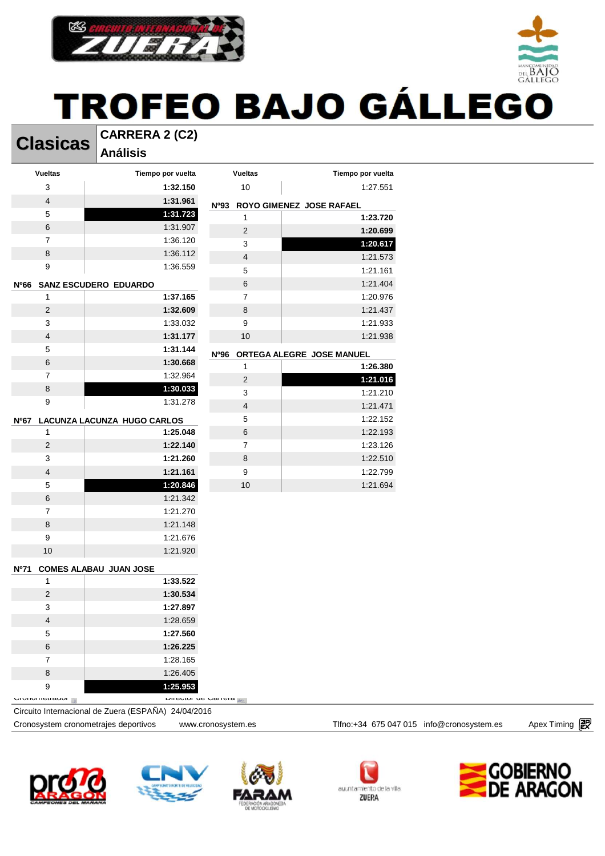



#### **Clasicas CARRERA 2 (C2) Análisis**

| <b>Vueltas</b><br>Tiempo por vuelta<br><b>Vueltas</b><br>Tiempo por vuelta<br>3<br>1:32.150<br>10<br>1:27.551<br>$\overline{\mathbf{4}}$<br>1:31.961<br>Nº93 ROYO GIMENEZ JOSE RAFAEL<br>5<br>1:31.723<br>1:23.720<br>$\mathbf{1}$<br>6<br>1:31.907<br>$\overline{c}$<br>1:20.699<br>$\overline{7}$<br>1:36.120<br>3<br>1:20.617<br>8<br>1:36.112<br>$\overline{\mathbf{4}}$<br>1:21.573<br>9<br>1:36.559<br>5<br>1:21.161<br>1:21.404<br>6<br>Nº66<br><b>SANZ ESCUDERO EDUARDO</b><br>$\overline{7}$<br>$\mathbf{1}$<br>1:37.165<br>1:20.976<br>8<br>$\overline{2}$<br>1:32.609<br>1:21.437<br>3<br>9<br>1:33.032<br>1:21.933<br>$\overline{4}$<br>1:31.177<br>$10$<br>1:21.938<br>5<br>1:31.144<br><b>Nº96</b><br>ORTEGA ALEGRE JOSE MANUEL<br>6<br>1:30.668<br>1:26.380<br>1<br>$\overline{7}$<br>1:32.964<br>$\overline{\mathbf{c}}$<br>1:21.016<br>8<br>1:30.033<br>3<br>1:21.210<br>9<br>1:31.278<br>1:21.471<br>4<br>5<br>1:22.152<br>LACUNZA LACUNZA HUGO CARLOS<br><b>Nº67</b><br>6<br>$\mathbf{1}$<br>1:25.048<br>1:22.193<br>$\overline{7}$<br>$\overline{c}$<br>1:23.126<br>1:22.140<br>3<br>1:21.260<br>8<br>1:22.510<br>9<br>$\overline{4}$<br>1:21.161<br>1:22.799<br>5<br>1:20.846<br>$10$<br>1:21.694<br>6<br>1:21.342<br>$\overline{7}$<br>1:21.270 |  |                                           |
|-----------------------------------------------------------------------------------------------------------------------------------------------------------------------------------------------------------------------------------------------------------------------------------------------------------------------------------------------------------------------------------------------------------------------------------------------------------------------------------------------------------------------------------------------------------------------------------------------------------------------------------------------------------------------------------------------------------------------------------------------------------------------------------------------------------------------------------------------------------------------------------------------------------------------------------------------------------------------------------------------------------------------------------------------------------------------------------------------------------------------------------------------------------------------------------------------------------------------------------------------------------------------|--|-------------------------------------------|
|                                                                                                                                                                                                                                                                                                                                                                                                                                                                                                                                                                                                                                                                                                                                                                                                                                                                                                                                                                                                                                                                                                                                                                                                                                                                       |  |                                           |
|                                                                                                                                                                                                                                                                                                                                                                                                                                                                                                                                                                                                                                                                                                                                                                                                                                                                                                                                                                                                                                                                                                                                                                                                                                                                       |  |                                           |
|                                                                                                                                                                                                                                                                                                                                                                                                                                                                                                                                                                                                                                                                                                                                                                                                                                                                                                                                                                                                                                                                                                                                                                                                                                                                       |  |                                           |
|                                                                                                                                                                                                                                                                                                                                                                                                                                                                                                                                                                                                                                                                                                                                                                                                                                                                                                                                                                                                                                                                                                                                                                                                                                                                       |  |                                           |
|                                                                                                                                                                                                                                                                                                                                                                                                                                                                                                                                                                                                                                                                                                                                                                                                                                                                                                                                                                                                                                                                                                                                                                                                                                                                       |  |                                           |
|                                                                                                                                                                                                                                                                                                                                                                                                                                                                                                                                                                                                                                                                                                                                                                                                                                                                                                                                                                                                                                                                                                                                                                                                                                                                       |  |                                           |
|                                                                                                                                                                                                                                                                                                                                                                                                                                                                                                                                                                                                                                                                                                                                                                                                                                                                                                                                                                                                                                                                                                                                                                                                                                                                       |  |                                           |
|                                                                                                                                                                                                                                                                                                                                                                                                                                                                                                                                                                                                                                                                                                                                                                                                                                                                                                                                                                                                                                                                                                                                                                                                                                                                       |  |                                           |
|                                                                                                                                                                                                                                                                                                                                                                                                                                                                                                                                                                                                                                                                                                                                                                                                                                                                                                                                                                                                                                                                                                                                                                                                                                                                       |  |                                           |
|                                                                                                                                                                                                                                                                                                                                                                                                                                                                                                                                                                                                                                                                                                                                                                                                                                                                                                                                                                                                                                                                                                                                                                                                                                                                       |  |                                           |
|                                                                                                                                                                                                                                                                                                                                                                                                                                                                                                                                                                                                                                                                                                                                                                                                                                                                                                                                                                                                                                                                                                                                                                                                                                                                       |  |                                           |
|                                                                                                                                                                                                                                                                                                                                                                                                                                                                                                                                                                                                                                                                                                                                                                                                                                                                                                                                                                                                                                                                                                                                                                                                                                                                       |  |                                           |
|                                                                                                                                                                                                                                                                                                                                                                                                                                                                                                                                                                                                                                                                                                                                                                                                                                                                                                                                                                                                                                                                                                                                                                                                                                                                       |  |                                           |
|                                                                                                                                                                                                                                                                                                                                                                                                                                                                                                                                                                                                                                                                                                                                                                                                                                                                                                                                                                                                                                                                                                                                                                                                                                                                       |  |                                           |
|                                                                                                                                                                                                                                                                                                                                                                                                                                                                                                                                                                                                                                                                                                                                                                                                                                                                                                                                                                                                                                                                                                                                                                                                                                                                       |  |                                           |
|                                                                                                                                                                                                                                                                                                                                                                                                                                                                                                                                                                                                                                                                                                                                                                                                                                                                                                                                                                                                                                                                                                                                                                                                                                                                       |  |                                           |
|                                                                                                                                                                                                                                                                                                                                                                                                                                                                                                                                                                                                                                                                                                                                                                                                                                                                                                                                                                                                                                                                                                                                                                                                                                                                       |  |                                           |
|                                                                                                                                                                                                                                                                                                                                                                                                                                                                                                                                                                                                                                                                                                                                                                                                                                                                                                                                                                                                                                                                                                                                                                                                                                                                       |  |                                           |
|                                                                                                                                                                                                                                                                                                                                                                                                                                                                                                                                                                                                                                                                                                                                                                                                                                                                                                                                                                                                                                                                                                                                                                                                                                                                       |  |                                           |
|                                                                                                                                                                                                                                                                                                                                                                                                                                                                                                                                                                                                                                                                                                                                                                                                                                                                                                                                                                                                                                                                                                                                                                                                                                                                       |  |                                           |
|                                                                                                                                                                                                                                                                                                                                                                                                                                                                                                                                                                                                                                                                                                                                                                                                                                                                                                                                                                                                                                                                                                                                                                                                                                                                       |  |                                           |
|                                                                                                                                                                                                                                                                                                                                                                                                                                                                                                                                                                                                                                                                                                                                                                                                                                                                                                                                                                                                                                                                                                                                                                                                                                                                       |  |                                           |
|                                                                                                                                                                                                                                                                                                                                                                                                                                                                                                                                                                                                                                                                                                                                                                                                                                                                                                                                                                                                                                                                                                                                                                                                                                                                       |  |                                           |
|                                                                                                                                                                                                                                                                                                                                                                                                                                                                                                                                                                                                                                                                                                                                                                                                                                                                                                                                                                                                                                                                                                                                                                                                                                                                       |  |                                           |
|                                                                                                                                                                                                                                                                                                                                                                                                                                                                                                                                                                                                                                                                                                                                                                                                                                                                                                                                                                                                                                                                                                                                                                                                                                                                       |  |                                           |
|                                                                                                                                                                                                                                                                                                                                                                                                                                                                                                                                                                                                                                                                                                                                                                                                                                                                                                                                                                                                                                                                                                                                                                                                                                                                       |  |                                           |
| 8<br>1:21.148                                                                                                                                                                                                                                                                                                                                                                                                                                                                                                                                                                                                                                                                                                                                                                                                                                                                                                                                                                                                                                                                                                                                                                                                                                                         |  |                                           |
| 9<br>1:21.676                                                                                                                                                                                                                                                                                                                                                                                                                                                                                                                                                                                                                                                                                                                                                                                                                                                                                                                                                                                                                                                                                                                                                                                                                                                         |  |                                           |
| 10<br>1:21.920                                                                                                                                                                                                                                                                                                                                                                                                                                                                                                                                                                                                                                                                                                                                                                                                                                                                                                                                                                                                                                                                                                                                                                                                                                                        |  |                                           |
|                                                                                                                                                                                                                                                                                                                                                                                                                                                                                                                                                                                                                                                                                                                                                                                                                                                                                                                                                                                                                                                                                                                                                                                                                                                                       |  |                                           |
| <b>COMES ALABAU JUAN JOSE</b><br>Nº71                                                                                                                                                                                                                                                                                                                                                                                                                                                                                                                                                                                                                                                                                                                                                                                                                                                                                                                                                                                                                                                                                                                                                                                                                                 |  |                                           |
| $\mathbf{1}$<br>1:33.522<br>$\overline{2}$<br>1:30.534                                                                                                                                                                                                                                                                                                                                                                                                                                                                                                                                                                                                                                                                                                                                                                                                                                                                                                                                                                                                                                                                                                                                                                                                                |  |                                           |
| 3<br>1:27.897                                                                                                                                                                                                                                                                                                                                                                                                                                                                                                                                                                                                                                                                                                                                                                                                                                                                                                                                                                                                                                                                                                                                                                                                                                                         |  |                                           |
| 1:28.659                                                                                                                                                                                                                                                                                                                                                                                                                                                                                                                                                                                                                                                                                                                                                                                                                                                                                                                                                                                                                                                                                                                                                                                                                                                              |  |                                           |
| 4<br>1:27.560<br>5                                                                                                                                                                                                                                                                                                                                                                                                                                                                                                                                                                                                                                                                                                                                                                                                                                                                                                                                                                                                                                                                                                                                                                                                                                                    |  |                                           |
| 6<br>1:26.225                                                                                                                                                                                                                                                                                                                                                                                                                                                                                                                                                                                                                                                                                                                                                                                                                                                                                                                                                                                                                                                                                                                                                                                                                                                         |  |                                           |
| 7<br>1:28.165                                                                                                                                                                                                                                                                                                                                                                                                                                                                                                                                                                                                                                                                                                                                                                                                                                                                                                                                                                                                                                                                                                                                                                                                                                                         |  |                                           |
| 1:26.405                                                                                                                                                                                                                                                                                                                                                                                                                                                                                                                                                                                                                                                                                                                                                                                                                                                                                                                                                                                                                                                                                                                                                                                                                                                              |  |                                           |
| 8<br>1:25.953<br>9                                                                                                                                                                                                                                                                                                                                                                                                                                                                                                                                                                                                                                                                                                                                                                                                                                                                                                                                                                                                                                                                                                                                                                                                                                                    |  |                                           |
| UIUIIUIIItuauui<br>P                                                                                                                                                                                                                                                                                                                                                                                                                                                                                                                                                                                                                                                                                                                                                                                                                                                                                                                                                                                                                                                                                                                                                                                                                                                  |  |                                           |
| Circuito Internacional de Zuera (ESPAÑA) 24/04/2016                                                                                                                                                                                                                                                                                                                                                                                                                                                                                                                                                                                                                                                                                                                                                                                                                                                                                                                                                                                                                                                                                                                                                                                                                   |  |                                           |
| Cronosystem cronometrajes deportivos<br>www.cronosystem.es                                                                                                                                                                                                                                                                                                                                                                                                                                                                                                                                                                                                                                                                                                                                                                                                                                                                                                                                                                                                                                                                                                                                                                                                            |  | Tlfno:+34 675 047 015 info@cronosystem.es |











**DEL BAIO**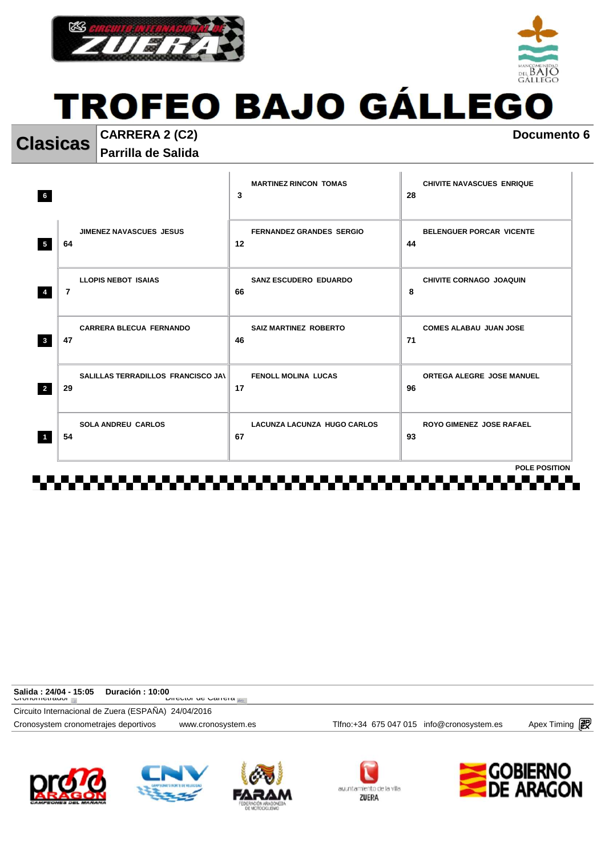



**Clasicas CARRERA 2 (C2) Documento 6** 

**Parrilla de Salida** 

| <b>JIMENEZ NAVASCUES JESUS</b><br><b>FERNANDEZ GRANDES SERGIO</b><br><b>BELENGUER PORCAR VICENTE</b><br>12<br>$5\phantom{.0}$<br>44<br>64<br><b>LLOPIS NEBOT ISAIAS</b><br><b>SANZ ESCUDERO EDUARDO</b><br>CHIVITE CORNAGO JOAQUIN<br>7<br>8<br>$\overline{4}$<br>66<br><b>CARRERA BLECUA FERNANDO</b><br><b>SAIZ MARTINEZ ROBERTO</b><br><b>COMES ALABAU JUAN JOSE</b><br>$\overline{\mathbf{3}}$<br>47<br>71<br>46<br>SALILLAS TERRADILLOS FRANCISCO JAN<br><b>FENOLL MOLINA LUCAS</b><br><b>ORTEGA ALEGRE JOSE MANUEL</b><br>$\overline{2}$<br>29<br>17<br>96 | <b>MARTINEZ RINCON TOMAS</b><br>3 | <b>CHIVITE NAVASCUES ENRIQUE</b><br>28 |
|------------------------------------------------------------------------------------------------------------------------------------------------------------------------------------------------------------------------------------------------------------------------------------------------------------------------------------------------------------------------------------------------------------------------------------------------------------------------------------------------------------------------------------------------------------------|-----------------------------------|----------------------------------------|
|                                                                                                                                                                                                                                                                                                                                                                                                                                                                                                                                                                  |                                   |                                        |
|                                                                                                                                                                                                                                                                                                                                                                                                                                                                                                                                                                  |                                   |                                        |
|                                                                                                                                                                                                                                                                                                                                                                                                                                                                                                                                                                  |                                   |                                        |
|                                                                                                                                                                                                                                                                                                                                                                                                                                                                                                                                                                  |                                   |                                        |
| <b>SOLA ANDREU CARLOS</b><br><b>LACUNZA LACUNZA HUGO CARLOS</b><br><b>ROYO GIMENEZ JOSE RAFAEL</b><br>54<br>67<br>93<br>$\blacktriangleleft$                                                                                                                                                                                                                                                                                                                                                                                                                     |                                   |                                        |
| . .                                                                                                                                                                                                                                                                                                                                                                                                                                                                                                                                                              |                                   | <b>POLE POSITION</b>                   |

| Salida : 24/04 - 15:05                              | Duración : 10:00 |                                   |                                            |               |
|-----------------------------------------------------|------------------|-----------------------------------|--------------------------------------------|---------------|
| י וטווטוווסווαטו ד                                  |                  | <b>DIFFORD UP CALLET A LEATER</b> |                                            |               |
| Circuito Internacional de Zuera (ESPAÑA) 24/04/2016 |                  |                                   |                                            |               |
| Cronosystem cronometrajes deportivos                |                  | www.cronosystem.es                | Tlfno: +34 675 047 015 info@cronosystem.es | Apex Timing 2 |
|                                                     |                  |                                   |                                            |               |